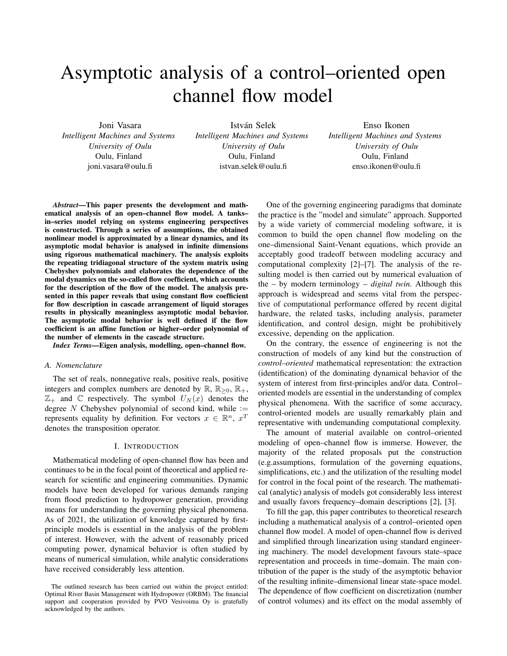# Asymptotic analysis of a control–oriented open channel flow model

Joni Vasara

*Intelligent Machines and Systems University of Oulu* Oulu, Finland joni.vasara@oulu.fi

István Selek *Intelligent Machines and Systems University of Oulu* Oulu, Finland istvan.selek@oulu.fi

Enso Ikonen *Intelligent Machines and Systems University of Oulu* Oulu, Finland enso.ikonen@oulu.fi

*Abstract*—This paper presents the development and mathematical analysis of an open–channel flow model. A tanks– in–series model relying on systems engineering perspectives is constructed. Through a series of assumptions, the obtained nonlinear model is approximated by a linear dynamics, and its asymptotic modal behavior is analysed in infinite dimensions using rigorous mathematical machinery. The analysis exploits the repeating tridiagonal structure of the system matrix using Chebyshev polynomials and elaborates the dependence of the modal dynamics on the so-called flow coefficient, which accounts for the description of the flow of the model. The analysis presented in this paper reveals that using constant flow coefficient for flow description in cascade arrangement of liquid storages results in physically meaningless asymptotic modal behavior. The asymptotic modal behavior is well defined if the flow coefficient is an affine function or higher–order polynomial of the number of elements in the cascade structure.

*Index Terms*—Eigen analysis, modelling, open–channel flow.

## *A. Nomenclature*

The set of reals, nonnegative reals, positive reals, positive integers and complex numbers are denoted by  $\mathbb{R}, \mathbb{R}_{>0}, \mathbb{R}_+$ ,  $\mathbb{Z}_+$  and  $\mathbb C$  respectively. The symbol  $U_N(x)$  denotes the degree N Chebyshev polynomial of second kind, while  $:=$ represents equality by definition. For vectors  $x \in \mathbb{R}^n$ ,  $x^T$ denotes the transposition operator.

#### I. INTRODUCTION

Mathematical modeling of open-channel flow has been and continues to be in the focal point of theoretical and applied research for scientific and engineering communities. Dynamic models have been developed for various demands ranging from flood prediction to hydropower generation, providing means for understanding the governing physical phenomena. As of 2021, the utilization of knowledge captured by firstprinciple models is essential in the analysis of the problem of interest. However, with the advent of reasonably priced computing power, dynamical behavior is often studied by means of numerical simulation, while analytic considerations have received considerably less attention.

One of the governing engineering paradigms that dominate the practice is the "model and simulate" approach. Supported by a wide variety of commercial modeling software, it is common to build the open channel flow modeling on the one–dimensional Saint-Venant equations, which provide an acceptably good tradeoff between modeling accuracy and computational complexity [2]–[7]. The analysis of the resulting model is then carried out by numerical evaluation of the – by modern terminology – *digital twin*. Although this approach is widespread and seems vital from the perspective of computational performance offered by recent digital hardware, the related tasks, including analysis, parameter identification, and control design, might be prohibitively excessive, depending on the application.

On the contrary, the essence of engineering is not the construction of models of any kind but the construction of *control–oriented* mathematical representation: the extraction (identification) of the dominating dynamical behavior of the system of interest from first-principles and/or data. Control– oriented models are essential in the understanding of complex physical phenomena. With the sacrifice of some accuracy, control-oriented models are usually remarkably plain and representative with undemanding computational complexity.

The amount of material available on control–oriented modeling of open–channel flow is immerse. However, the majority of the related proposals put the construction (e.g.assumptions, formulation of the governing equations, simplifications, etc.) and the utilization of the resulting model for control in the focal point of the research. The mathematical (analytic) analysis of models got considerably less interest and usually favors frequency–domain descriptions [2], [3].

To fill the gap, this paper contributes to theoretical research including a mathematical analysis of a control–oriented open channel flow model. A model of open-channel flow is derived and simplified through linearization using standard engineering machinery. The model development favours state–space representation and proceeds in time–domain. The main contribution of the paper is the study of the asymptotic behavior of the resulting infinite–dimensional linear state-space model. The dependence of flow coefficient on discretization (number of control volumes) and its effect on the modal assembly of

The outlined research has been carried out within the project entitled: Optimal River Basin Management with Hydropower (ORBM). The financial support and cooperation provided by PVO Vesivoima Oy is gratefully acknowledged by the authors.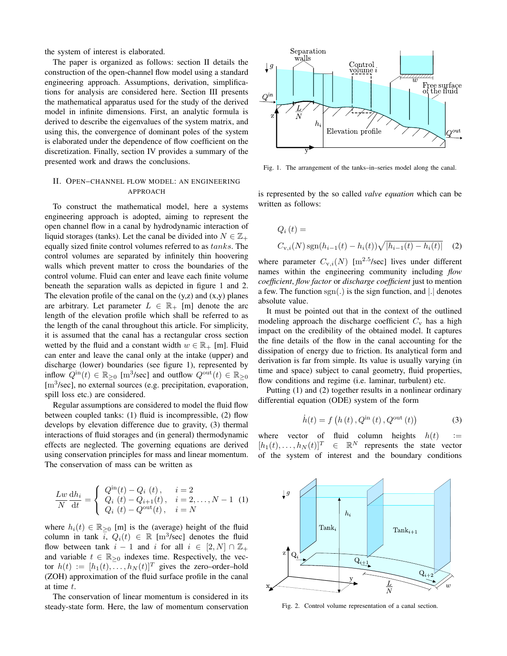the system of interest is elaborated.

The paper is organized as follows: section II details the construction of the open-channel flow model using a standard engineering approach. Assumptions, derivation, simplifications for analysis are considered here. Section III presents the mathematical apparatus used for the study of the derived model in infinite dimensions. First, an analytic formula is derived to describe the eigenvalues of the system matrix, and using this, the convergence of dominant poles of the system is elaborated under the dependence of flow coefficient on the discretization. Finally, section IV provides a summary of the presented work and draws the conclusions.

## II. OPEN–CHANNEL FLOW MODEL: AN ENGINEERING APPROACH

To construct the mathematical model, here a systems engineering approach is adopted, aiming to represent the open channel flow in a canal by hydrodynamic interaction of liquid storages (tanks). Let the canal be divided into  $N \in \mathbb{Z}_+$ equally sized finite control volumes referred to as tanks. The control volumes are separated by infinitely thin hoovering walls which prevent matter to cross the boundaries of the control volume. Fluid can enter and leave each finite volume beneath the separation walls as depicted in figure 1 and 2. The elevation profile of the canal on the  $(y, z)$  and  $(x, y)$  planes are arbitrary. Let parameter  $L \in \mathbb{R}_+$  [m] denote the arc length of the elevation profile which shall be referred to as the length of the canal throughout this article. For simplicity, it is assumed that the canal has a rectangular cross section wetted by the fluid and a constant width  $w \in \mathbb{R}_+$  [m]. Fluid can enter and leave the canal only at the intake (upper) and discharge (lower) boundaries (see figure 1), represented by inflow  $Q^{\text{in}}(t) \in \mathbb{R}_{\geq 0}$  [m<sup>3</sup>/sec] and outflow  $Q^{\text{out}}(t) \in \mathbb{R}_{\geq 0}$ [m<sup>3</sup>/sec], no external sources (e.g. precipitation, evaporation, spill loss etc.) are considered.

Regular assumptions are considered to model the fluid flow between coupled tanks: (1) fluid is incompressible, (2) flow develops by elevation difference due to gravity, (3) thermal interactions of fluid storages and (in general) thermodynamic effects are neglected. The governing equations are derived using conservation principles for mass and linear momentum. The conservation of mass can be written as

$$
\frac{Lw}{N}\frac{dh_i}{dt} = \begin{cases} Q^{in}(t) - Q_i(t), & i = 2 \\ Q_i(t) - Q_{i+1}(t), & i = 2,..., N - 1 \\ Q_i(t) - Q^{out}(t), & i = N \end{cases}
$$
(1)

where  $h_i(t) \in \mathbb{R}_{\geq 0}$  [m] is the (average) height of the fluid column in tank  $\bar{i}$ ,  $Q_i(t) \in \mathbb{R}$  [m<sup>3</sup>/sec] denotes the fluid flow between tank  $i - 1$  and i for all  $i \in [2, N] \cap \mathbb{Z}_+$ and variable  $t \in \mathbb{R}_{\geq 0}$  indexes time. Respectively, the vector  $h(t) := [h_1(t), \ldots, h_N(t)]^T$  gives the zero–order–hold (ZOH) approximation of the fluid surface profile in the canal at time t.

The conservation of linear momentum is considered in its steady-state form. Here, the law of momentum conservation



Fig. 1. The arrangement of the tanks–in–series model along the canal.

is represented by the so called *valve equation* which can be written as follows:

$$
Q_i(t) =
$$
  
C<sub>v,i</sub>(N) sgn(h<sub>i-1</sub>(t) - h<sub>i</sub>(t)) $\sqrt{|h_{i-1}(t) - h_i(t)|}$  (2)

where parameter  $C_{v,i}(N)$  [m<sup>2.5</sup>/sec] lives under different names within the engineering community including *flow coefficient*, *flow factor* or *discharge coefficient* just to mention a few. The function  $sgn(.)$  is the sign function, and  $|.|$  denotes absolute value.

It must be pointed out that in the context of the outlined modeling approach the discharge coefficient  $C_v$  has a high impact on the credibility of the obtained model. It captures the fine details of the flow in the canal accounting for the dissipation of energy due to friction. Its analytical form and derivation is far from simple. Its value is usually varying (in time and space) subject to canal geometry, fluid properties, flow conditions and regime (i.e. laminar, turbulent) etc.

Putting (1) and (2) together results in a nonlinear ordinary differential equation (ODE) system of the form

$$
\dot{h}(t) = f(h(t), Q^{\text{in}}(t), Q^{\text{out}}(t))
$$
 (3)

where vector of fluid column heights  $h(t)$  :=  $[h_1(t), \ldots, h_N(t)]^T \in \mathbb{R}^N$  represents the state vector of the system of interest and the boundary conditions



Fig. 2. Control volume representation of a canal section.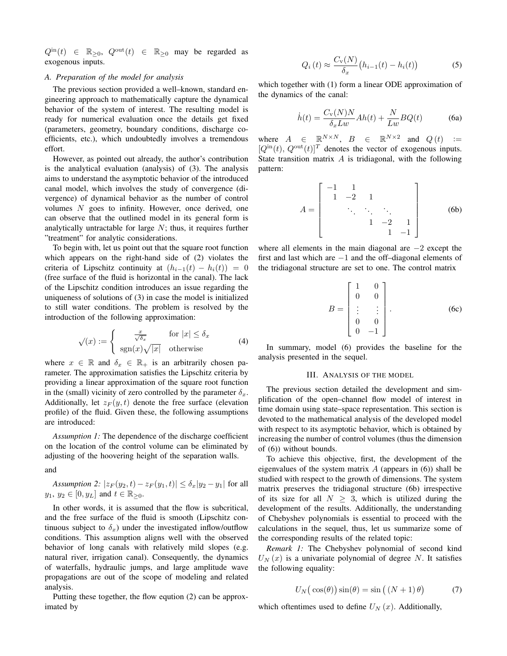$Q^{\text{in}}(t) \in \mathbb{R}_{\geq 0}, Q^{\text{out}}(t) \in \mathbb{R}_{\geq 0}$  may be regarded as exogenous inputs.

### *A. Preparation of the model for analysis*

The previous section provided a well–known, standard engineering approach to mathematically capture the dynamical behavior of the system of interest. The resulting model is ready for numerical evaluation once the details get fixed (parameters, geometry, boundary conditions, discharge coefficients, etc.), which undoubtedly involves a tremendous effort.

However, as pointed out already, the author's contribution is the analytical evaluation (analysis) of (3). The analysis aims to understand the asymptotic behavior of the introduced canal model, which involves the study of convergence (divergence) of dynamical behavior as the number of control volumes N goes to infinity. However, once derived, one can observe that the outlined model in its general form is analytically untractable for large  $N$ ; thus, it requires further "treatment" for analytic considerations.

To begin with, let us point out that the square root function which appears on the right-hand side of (2) violates the criteria of Lipschitz continuity at  $(h_{i-1}(t) - h_i(t)) = 0$ (free surface of the fluid is horizontal in the canal). The lack of the Lipschitz condition introduces an issue regarding the uniqueness of solutions of (3) in case the model is initialized to still water conditions. The problem is resolved by the introduction of the following approximation:

$$
\sqrt{x} := \begin{cases}\n\frac{x}{\sqrt{\delta_x}} & \text{for } |x| \le \delta_x \\
\text{sgn}(x)\sqrt{|x|} & \text{otherwise}\n\end{cases} (4)
$$

where  $x \in \mathbb{R}$  and  $\delta_x \in \mathbb{R}_+$  is an arbitrarily chosen parameter. The approximation satisfies the Lipschitz criteria by providing a linear approximation of the square root function in the (small) vicinity of zero controlled by the parameter  $\delta_x$ . Additionally, let  $z_F(y, t)$  denote the free surface (elevation profile) of the fluid. Given these, the following assumptions are introduced:

*Assumption 1:* The dependence of the discharge coefficient on the location of the control volume can be eliminated by adjusting of the hoovering height of the separation walls.

and

*Assumption 2:*  $|z_F(y_2, t) - z_F(y_1, t)| \leq \delta_x |y_2 - y_1|$  for all  $y_1, y_2 \in [0, y_L]$  and  $t \in \mathbb{R}_{>0}$ .

In other words, it is assumed that the flow is subcritical, and the free surface of the fluid is smooth (Lipschitz continuous subject to  $\delta_x$ ) under the investigated inflow/outflow conditions. This assumption aligns well with the observed behavior of long canals with relatively mild slopes (e.g. natural river, irrigation canal). Consequently, the dynamics of waterfalls, hydraulic jumps, and large amplitude wave propagations are out of the scope of modeling and related analysis.

Putting these together, the flow eqution (2) can be approximated by

$$
Q_i(t) \approx \frac{C_{\rm v}(N)}{\delta_x} \big( h_{i-1}(t) - h_i(t) \big) \tag{5}
$$

which together with (1) form a linear ODE approximation of the dynamics of the canal:

$$
\dot{h}(t) = \frac{C_{\rm v}(N)N}{\delta_x L w} Ah(t) + \frac{N}{L w} BQ(t)
$$
 (6a)

where  $A \in \mathbb{R}^{N \times N}$ ,  $B \in \mathbb{R}^{N \times 2}$  and  $Q(t) :=$  $[Q^{\text{in}}(t), Q^{\text{out}}(t)]^T$  denotes the vector of exogenous inputs. State transition matrix  $A$  is tridiagonal, with the following pattern:

$$
A = \begin{bmatrix} -1 & 1 & & & \\ 1 & -2 & 1 & & \\ & \ddots & \ddots & \ddots & \\ & & 1 & -2 & 1 \\ & & & 1 & -1 \end{bmatrix}
$$
 (6b)

where all elements in the main diagonal are  $-2$  except the first and last which are −1 and the off–diagonal elements of the tridiagonal structure are set to one. The control matrix

$$
B = \begin{bmatrix} 1 & 0 \\ 0 & 0 \\ \vdots & \vdots \\ 0 & 0 \\ 0 & -1 \end{bmatrix} .
$$
 (6c)

In summary, model (6) provides the baseline for the analysis presented in the sequel.

#### III. ANALYSIS OF THE MODEL

The previous section detailed the development and simplification of the open–channel flow model of interest in time domain using state–space representation. This section is devoted to the mathematical analysis of the developed model with respect to its asymptotic behavior, which is obtained by increasing the number of control volumes (thus the dimension of (6)) without bounds.

To achieve this objective, first, the development of the eigenvalues of the system matrix  $A$  (appears in  $(6)$ ) shall be studied with respect to the growth of dimensions. The system matrix preserves the tridiagonal structure (6b) irrespective of its size for all  $N \geq 3$ , which is utilized during the development of the results. Additionally, the understanding of Chebyshev polynomials is essential to proceed with the calculations in the sequel, thus, let us summarize some of the corresponding results of the related topic:

*Remark 1:* The Chebyshev polynomial of second kind  $U<sub>N</sub>(x)$  is a univariate polynomial of degree N. It satisfies the following equality:

$$
U_N(\cos(\theta))\sin(\theta) = \sin((N+1)\theta)
$$
 (7)

which oftentimes used to define  $U_N(x)$ . Additionally,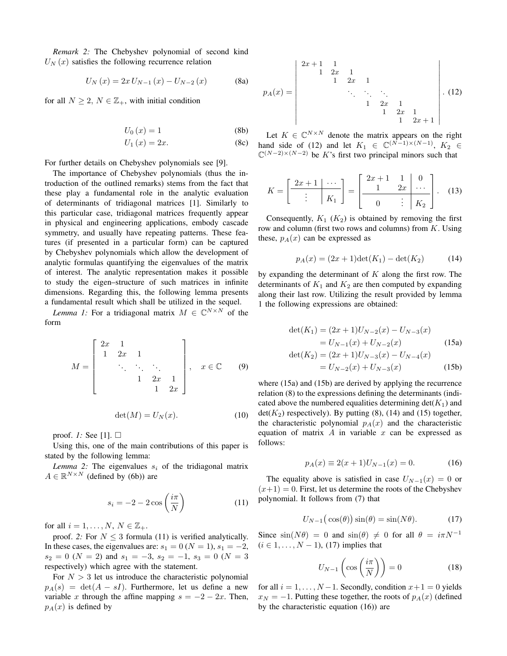*Remark 2:* The Chebyshev polynomial of second kind  $U<sub>N</sub>(x)$  satisfies the following recurrence relation

$$
U_N(x) = 2x U_{N-1}(x) - U_{N-2}(x)
$$
 (8a)

for all  $N \geq 2$ ,  $N \in \mathbb{Z}_+$ , with initial condition

$$
U_0(x) = 1 \tag{8b}
$$

$$
U_1(x) = 2x.\t\t(8c)
$$

For further details on Chebyshev polynomials see [9].

The importance of Chebyshev polynomials (thus the introduction of the outlined remarks) stems from the fact that these play a fundamental role in the analytic evaluation of determinants of tridiagonal matrices [1]. Similarly to this particular case, tridiagonal matrices frequently appear in physical and engineering applications, embody cascade symmetry, and usually have repeating patterns. These features (if presented in a particular form) can be captured by Chebyshev polynomials which allow the development of analytic formulas quantifying the eigenvalues of the matrix of interest. The analytic representation makes it possible to study the eigen–structure of such matrices in infinite dimensions. Regarding this, the following lemma presents a fundamental result which shall be utilized in the sequel.

*Lemma 1:* For a tridiagonal matrix  $M \in \mathbb{C}^{N \times N}$  of the form

$$
M = \begin{bmatrix} 2x & 1 & & & \\ 1 & 2x & 1 & & \\ & \ddots & \ddots & \ddots & \\ & & 1 & 2x & 1 \\ & & & 1 & 2x \end{bmatrix}, \quad x \in \mathbb{C} \quad (9)
$$

$$
\det(M) = U_N(x). \tag{10}
$$

proof. *1:* See [1].

Using this, one of the main contributions of this paper is stated by the following lemma:

*Lemma 2:* The eigenvalues  $s_i$  of the tridiagonal matrix  $A \in \mathbb{R}^{N \times N}$  (defined by (6b)) are

$$
s_i = -2 - 2\cos\left(\frac{i\pi}{N}\right) \tag{11}
$$

for all  $i = 1, \ldots, N$ ,  $N \in \mathbb{Z}_+$ .

proof. 2: For  $N \leq 3$  formula (11) is verified analytically. In these cases, the eigenvalues are:  $s_1 = 0$  ( $N = 1$ ),  $s_1 = -2$ ,  $s_2 = 0$  (N = 2) and  $s_1 = -3$ ,  $s_2 = -1$ ,  $s_3 = 0$  (N = 3) respectively) which agree with the statement.

For  $N > 3$  let us introduce the characteristic polynomial  $p_A(s) = \det(A - sI)$ . Furthermore, let us define a new variable x through the affine mapping  $s = -2 - 2x$ . Then,  $p_A(x)$  is defined by

$$
p_A(x) = \begin{vmatrix} 2x+1 & 1 & 1 & 1 \\ 1 & 2x & 1 & 1 \\ & & \ddots & \ddots & \ddots \\ & & & 1 & 2x & 1 \\ & & & & 1 & 2x & 1 \\ & & & & 1 & 2x+1 \end{vmatrix} . (12)
$$

Let  $K \in \mathbb{C}^{N \times N}$  denote the matrix appears on the right hand side of (12) and let  $K_1 \in \mathbb{C}^{(\bar{N}-1)\times(N-1)}$ ,  $K_2 \in$  $\mathbb{C}^{(N-2)\times(N-2)}$  be K's first two principal minors such that

$$
K = \left[\begin{array}{c|c} 2x+1 & \cdots \\ \hline \vdots & K_1 \end{array}\right] = \left[\begin{array}{c|c} 2x+1 & 1 & 0 \\ 1 & 2x & \cdots \\ \hline 0 & \vdots & K_2 \end{array}\right]. \quad (13)
$$

Consequently,  $K_1$  ( $K_2$ ) is obtained by removing the first row and column (first two rows and columns) from  $K$ . Using these,  $p_A(x)$  can be expressed as

$$
p_A(x) = (2x + 1)\det(K_1) - \det(K_2)
$$
 (14)

by expanding the determinant of  $K$  along the first row. The determinants of  $K_1$  and  $K_2$  are then computed by expanding along their last row. Utilizing the result provided by lemma 1 the following expressions are obtained:

$$
\det(K_1) = (2x+1)U_{N-2}(x) - U_{N-3}(x)
$$

$$
= U_{N-1}(x) + U_{N-2}(x) \tag{15a}
$$

$$
\det(K_2) = (2x+1)U_{N-3}(x) - U_{N-4}(x)
$$
  
=  $U_{N-2}(x) + U_{N-3}(x)$  (15b)

where (15a) and (15b) are derived by applying the recurrence relation (8) to the expressions defining the determinants (indicated above the numbered equalities determining  $det(K_1)$  and  $det(K_2)$  respectively). By putting (8), (14) and (15) together, the characteristic polynomial  $p_A(x)$  and the characteristic equation of matrix  $A$  in variable  $x$  can be expressed as follows:

$$
p_A(x) \equiv 2(x+1)U_{N-1}(x) = 0.
$$
 (16)

The equality above is satisfied in case  $U_{N-1}(x) = 0$  or  $(x+1) = 0$ . First, let us determine the roots of the Chebyshev polynomial. It follows from (7) that

$$
U_{N-1}\big(\cos(\theta)\big)\sin(\theta) = \sin(N\theta). \tag{17}
$$

Since  $\sin(N\theta) = 0$  and  $\sin(\theta) \neq 0$  for all  $\theta = i\pi N^{-1}$  $(i \in 1, \ldots, N-1)$ , (17) implies that

$$
U_{N-1}\left(\cos\left(\frac{i\pi}{N}\right)\right) = 0\tag{18}
$$

for all  $i = 1, \ldots, N-1$ . Secondly, condition  $x+1 = 0$  yields  $x_N = -1$ . Putting these together, the roots of  $p_A(x)$  (defined by the characteristic equation (16)) are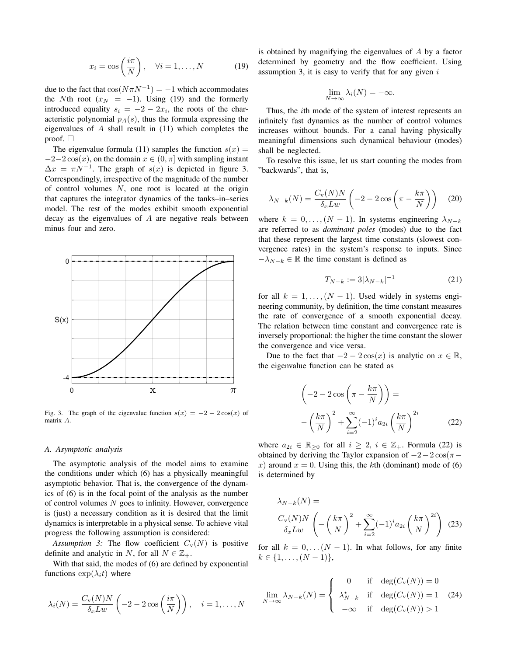$$
x_i = \cos\left(\frac{i\pi}{N}\right), \quad \forall i = 1, \dots, N \tag{19}
$$

due to the fact that  $cos(N\pi N^{-1}) = -1$  which accommodates the Nth root  $(x_N = -1)$ . Using (19) and the formerly introduced equality  $s_i = -2 - 2x_i$ , the roots of the characteristic polynomial  $p_A(s)$ , thus the formula expressing the eigenvalues of  $A$  shall result in  $(11)$  which completes the proof.  $\square$ 

The eigenvalue formula (11) samples the function  $s(x) =$  $-2-2\cos(x)$ , on the domain  $x \in (0, \pi]$  with sampling instant  $\Delta x = \pi N^{-1}$ . The graph of  $s(x)$  is depicted in figure 3. Correspondingly, irrespective of the magnitude of the number of control volumes  $N$ , one root is located at the origin that captures the integrator dynamics of the tanks–in–series model. The rest of the modes exhibit smooth exponential decay as the eigenvalues of A are negative reals between minus four and zero.



Fig. 3. The graph of the eigenvalue function  $s(x) = -2 - 2\cos(x)$  of matrix A.

#### *A. Asymptotic analysis*

The asymptotic analysis of the model aims to examine the conditions under which (6) has a physically meaningful asymptotic behavior. That is, the convergence of the dynamics of (6) is in the focal point of the analysis as the number of control volumes  $N$  goes to infinity. However, convergence is (just) a necessary condition as it is desired that the limit dynamics is interpretable in a physical sense. To achieve vital progress the following assumption is considered:

*Assumption 3:* The flow coefficient  $C_v(N)$  is positive definite and analytic in N, for all  $N \in \mathbb{Z}_+$ .

With that said, the modes of (6) are defined by exponential functions  $\exp(\lambda_i t)$  where

$$
\lambda_i(N) = \frac{C_{\rm v}(N)N}{\delta_x L w} \left( -2 - 2 \cos\left(\frac{i\pi}{N}\right) \right), \quad i = 1, \dots, N
$$

is obtained by magnifying the eigenvalues of A by a factor determined by geometry and the flow coefficient. Using assumption 3, it is easy to verify that for any given  $i$ 

$$
\lim_{N \to \infty} \lambda_i(N) = -\infty.
$$

Thus, the ith mode of the system of interest represents an infinitely fast dynamics as the number of control volumes increases without bounds. For a canal having physically meaningful dimensions such dynamical behaviour (modes) shall be neglected.

To resolve this issue, let us start counting the modes from "backwards", that is,

$$
\lambda_{N-k}(N) = \frac{C_{\rm v}(N)N}{\delta_x L w} \left( -2 - 2\cos\left(\pi - \frac{k\pi}{N}\right) \right) \tag{20}
$$

where  $k = 0, \ldots, (N - 1)$ . In systems engineering  $\lambda_{N-k}$ are referred to as *dominant poles* (modes) due to the fact that these represent the largest time constants (slowest convergence rates) in the system's response to inputs. Since  $-\lambda_{N-k} \in \mathbb{R}$  the time constant is defined as

$$
T_{N-k} := 3|\lambda_{N-k}|^{-1}
$$
 (21)

for all  $k = 1, \ldots, (N - 1)$ . Used widely in systems engineering community, by definition, the time constant measures the rate of convergence of a smooth exponential decay. The relation between time constant and convergence rate is inversely proportional: the higher the time constant the slower the convergence and vice versa.

Due to the fact that  $-2 - 2 \cos(x)$  is analytic on  $x \in \mathbb{R}$ , the eigenvalue function can be stated as

$$
\left(-2 - 2\cos\left(\pi - \frac{k\pi}{N}\right)\right) =
$$

$$
-\left(\frac{k\pi}{N}\right)^2 + \sum_{i=2}^{\infty} (-1)^i a_{2i} \left(\frac{k\pi}{N}\right)^{2i}
$$
(22)

where  $a_{2i} \in \mathbb{R}_{\geq 0}$  for all  $i \geq 2$ ,  $i \in \mathbb{Z}_{+}$ . Formula (22) is obtained by deriving the Taylor expansion of  $-2-2\cos(\pi-\pi)$ x) around  $x = 0$ . Using this, the kth (dominant) mode of (6) is determined by

$$
\lambda_{N-k}(N) =
$$
  

$$
\frac{C_{\rm v}(N)N}{\delta_x L w} \left( -\left(\frac{k\pi}{N}\right)^2 + \sum_{i=2}^{\infty} (-1)^i a_{2i} \left(\frac{k\pi}{N}\right)^{2i} \right)
$$
 (23)

for all  $k = 0, \ldots (N - 1)$ . In what follows, for any finite  $k \in \{1, \ldots, (N-1)\},\$ 

$$
\lim_{N \to \infty} \lambda_{N-k}(N) = \begin{cases} 0 & \text{if } \deg(C_{\text{v}}(N)) = 0 \\ \lambda_{N-k}^* & \text{if } \deg(C_{\text{v}}(N)) = 1 \\ -\infty & \text{if } \deg(C_{\text{v}}(N)) > 1 \end{cases}
$$
(24)

 $\overline{v}$